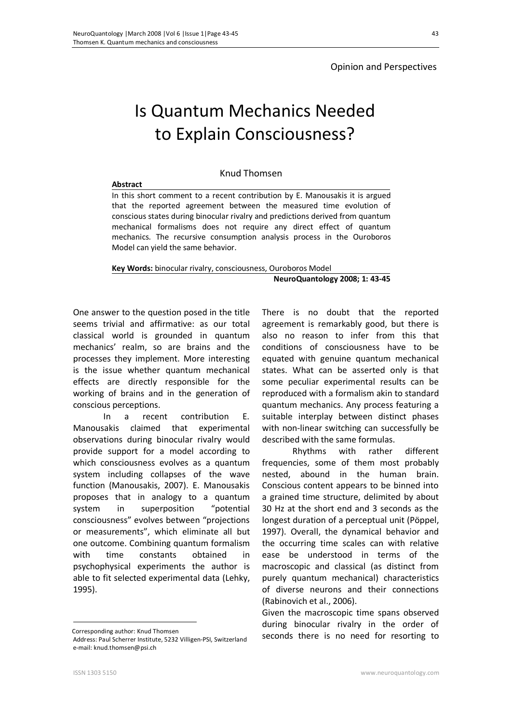# Is Quantum Mechanics Needed to Explain Consciousness?

### Knud Thomsen

## **Abstract**

In this short comment to a recent contribution by E. Manousakis it is argued that the reported agreement between the measured time evolution of conscious states during binocular rivalry and predictions derived from quantum mechanical formalisms does not require any direct effect of quantum mechanics. The recursive consumption analysis process in the Ouroboros Model can yield the same behavior.

**Key Words:** binocular rivalry, consciousness, Ouroboros Model

**NeuroQuantology 2008; 1: 43-45**

 One answer to the question posed in the title seems trivial and affirmative: as our total classical world is grounded in quantum mechanics' realm, so are brains and the processes they implement. More interesting is the issue whether quantum mechanical effects are directly responsible for the working of brains and in the generation of conscious perceptions.

In a recent contribution E. Manousakis claimed that experimental observations during binocular rivalry would provide support for a model according to which consciousness evolves as a quantum system including collapses of the wave function (Manousakis, 2007). E. Manousakis proposes that in analogy to a quantum system in superposition "potential consciousness" evolves between "projections or measurements", which eliminate all but one outcome. Combining quantum formalism with time constants obtained in psychophysical experiments the author is able to fit selected experimental data (Lehky, 1995).

Corresponding author: Knud Thomsen

There is no doubt that the reported agreement is remarkably good, but there is also no reason to infer from this that conditions of consciousness have to be equated with genuine quantum mechanical states. What can be asserted only is that some peculiar experimental results can be reproduced with a formalism akin to standard quantum mechanics. Any process featuring a suitable interplay between distinct phases with non-linear switching can successfully be described with the same formulas.

Rhythms with rather different frequencies, some of them most probably nested, abound in the human brain. Conscious content appears to be binned into a grained time structure, delimited by about 30 Hz at the short end and 3 seconds as the longest duration of a perceptual unit (Pöppel, 1997). Overall, the dynamical behavior and the occurring time scales can with relative ease be understood in terms of the macroscopic and classical (as distinct from purely quantum mechanical) characteristics of diverse neurons and their connections (Rabinovich et al., 2006).

Given the macroscopic time spans observed during binocular rivalry in the order of seconds there is no need for resorting to

 $\overline{a}$ 

Address: Paul Scherrer Institute, 5232 Villigen-PSI, Switzerland e-mail: knud.thomsen@psi.ch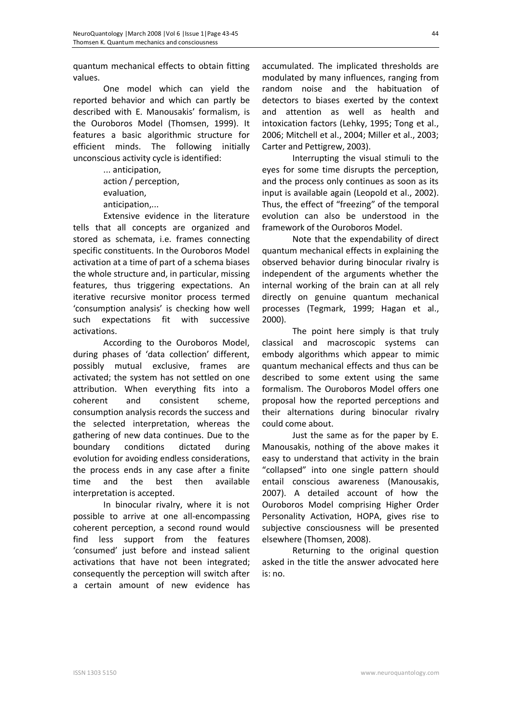quantum mechanical effects to obtain fitting values.

One model which can yield the reported behavior and which can partly be described with E. Manousakis' formalism, is the Ouroboros Model (Thomsen, 1999). It features a basic algorithmic structure for efficient minds. The following initially unconscious activity cycle is identified:

> ... anticipation, action / perception, evaluation, anticipation,...

Extensive evidence in the literature tells that all concepts are organized and stored as schemata, i.e. frames connecting specific constituents. In the Ouroboros Model activation at a time of part of a schema biases the whole structure and, in particular, missing features, thus triggering expectations. An iterative recursive monitor process termed 'consumption analysis' is checking how well such expectations fit with successive activations.

According to the Ouroboros Model, during phases of 'data collection' different, possibly mutual exclusive, frames are activated; the system has not settled on one attribution. When everything fits into a coherent and consistent scheme, consumption analysis records the success and the selected interpretation, whereas the gathering of new data continues. Due to the boundary conditions dictated during evolution for avoiding endless considerations, the process ends in any case after a finite time and the best then available interpretation is accepted.

In binocular rivalry, where it is not possible to arrive at one all-encompassing coherent perception, a second round would find less support from the features 'consumed' just before and instead salient activations that have not been integrated; consequently the perception will switch after a certain amount of new evidence has

accumulated. The implicated thresholds are modulated by many influences, ranging from random noise and the habituation of detectors to biases exerted by the context and attention as well as health and intoxication factors (Lehky, 1995; Tong et al., 2006; Mitchell et al., 2004; Miller et al., 2003; Carter and Pettigrew, 2003).

Interrupting the visual stimuli to the eyes for some time disrupts the perception, and the process only continues as soon as its input is available again (Leopold et al., 2002). Thus, the effect of "freezing" of the temporal evolution can also be understood in the framework of the Ouroboros Model.

Note that the expendability of direct quantum mechanical effects in explaining the observed behavior during binocular rivalry is independent of the arguments whether the internal working of the brain can at all rely directly on genuine quantum mechanical processes (Tegmark, 1999; Hagan et al., 2000).

The point here simply is that truly classical and macroscopic systems can embody algorithms which appear to mimic quantum mechanical effects and thus can be described to some extent using the same formalism. The Ouroboros Model offers one proposal how the reported perceptions and their alternations during binocular rivalry could come about.

Just the same as for the paper by E. Manousakis, nothing of the above makes it easy to understand that activity in the brain "collapsed" into one single pattern should entail conscious awareness (Manousakis, 2007). A detailed account of how the Ouroboros Model comprising Higher Order Personality Activation, HOPA, gives rise to subjective consciousness will be presented elsewhere (Thomsen, 2008).

Returning to the original question asked in the title the answer advocated here is: no.